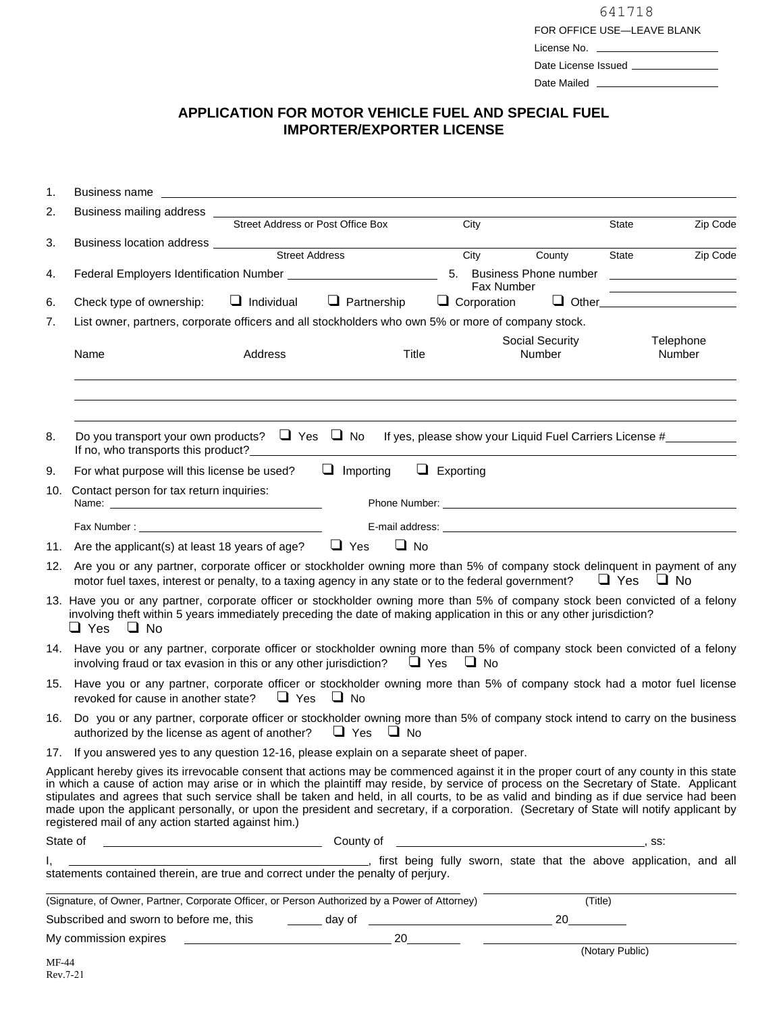| 641718                     |
|----------------------------|
| FOR OFFICE USE-LEAVE BLANK |
| License No.                |
| Date License Issued        |
| Date Mailed                |

## **APPLICATION FOR MOTOR VEHICLE FUEL AND SPECIAL FUEL IMPORTER/EXPORTER LICENSE**

| 1.    |                                                                                                                                                                                                                                                                                                                                                                                                                                                                                                                                                                                                                             |                                                                          |                    |                                        |                                                                                                                                                                                                                                |         |                                                                                           |  |
|-------|-----------------------------------------------------------------------------------------------------------------------------------------------------------------------------------------------------------------------------------------------------------------------------------------------------------------------------------------------------------------------------------------------------------------------------------------------------------------------------------------------------------------------------------------------------------------------------------------------------------------------------|--------------------------------------------------------------------------|--------------------|----------------------------------------|--------------------------------------------------------------------------------------------------------------------------------------------------------------------------------------------------------------------------------|---------|-------------------------------------------------------------------------------------------|--|
| 2.    |                                                                                                                                                                                                                                                                                                                                                                                                                                                                                                                                                                                                                             | Street Address or Post Office Box                                        |                    |                                        |                                                                                                                                                                                                                                |         |                                                                                           |  |
| 3.    |                                                                                                                                                                                                                                                                                                                                                                                                                                                                                                                                                                                                                             |                                                                          |                    | City                                   |                                                                                                                                                                                                                                | State   | Zip Code                                                                                  |  |
|       |                                                                                                                                                                                                                                                                                                                                                                                                                                                                                                                                                                                                                             |                                                                          |                    | City                                   | County                                                                                                                                                                                                                         | State   | Zip Code                                                                                  |  |
| 4.    |                                                                                                                                                                                                                                                                                                                                                                                                                                                                                                                                                                                                                             | Federal Employers Identification Number <b>National Property Control</b> |                    | 5. Business Phone number<br>Fax Number |                                                                                                                                                                                                                                |         | the control of the control of the control of the control of the control of the control of |  |
| 6.    | Check type of ownership:                                                                                                                                                                                                                                                                                                                                                                                                                                                                                                                                                                                                    | $\Box$ Individual                                                        | $\Box$ Partnership | $\Box$ Corporation                     |                                                                                                                                                                                                                                |         |                                                                                           |  |
| 7.    | List owner, partners, corporate officers and all stockholders who own 5% or more of company stock.                                                                                                                                                                                                                                                                                                                                                                                                                                                                                                                          |                                                                          |                    |                                        |                                                                                                                                                                                                                                |         |                                                                                           |  |
|       | Name                                                                                                                                                                                                                                                                                                                                                                                                                                                                                                                                                                                                                        | Address                                                                  | Title              |                                        | Social Security<br>Number                                                                                                                                                                                                      |         | Telephone<br>Number                                                                       |  |
| 8.    | Do you transport your own products? $\Box$ Yes $\Box$ No If yes, please show your Liquid Fuel Carriers License #<br>If no, who transports this product?                                                                                                                                                                                                                                                                                                                                                                                                                                                                     |                                                                          |                    |                                        |                                                                                                                                                                                                                                |         |                                                                                           |  |
| 9.    | $\Box$ Importing<br>$\Box$ Exporting<br>For what purpose will this license be used?                                                                                                                                                                                                                                                                                                                                                                                                                                                                                                                                         |                                                                          |                    |                                        |                                                                                                                                                                                                                                |         |                                                                                           |  |
| 10.   | Contact person for tax return inquiries:<br>Phone Number: The contract of the contract of the contract of the contract of the contract of the contract of the contract of the contract of the contract of the contract of the contract of the contract of the contract of                                                                                                                                                                                                                                                                                                                                                   |                                                                          |                    |                                        |                                                                                                                                                                                                                                |         |                                                                                           |  |
|       |                                                                                                                                                                                                                                                                                                                                                                                                                                                                                                                                                                                                                             |                                                                          |                    |                                        | E-mail address: the contract of the contract of the contract of the contract of the contract of the contract of the contract of the contract of the contract of the contract of the contract of the contract of the contract o |         |                                                                                           |  |
|       | $\Box$ Yes<br>$\Box$ No<br>11. Are the applicant(s) at least 18 years of age?                                                                                                                                                                                                                                                                                                                                                                                                                                                                                                                                               |                                                                          |                    |                                        |                                                                                                                                                                                                                                |         |                                                                                           |  |
| 12.   | Are you or any partner, corporate officer or stockholder owning more than 5% of company stock delinquent in payment of any<br>motor fuel taxes, interest or penalty, to a taxing agency in any state or to the federal government?<br>$\Box$ Yes<br>$\Box$ No                                                                                                                                                                                                                                                                                                                                                               |                                                                          |                    |                                        |                                                                                                                                                                                                                                |         |                                                                                           |  |
|       | 13. Have you or any partner, corporate officer or stockholder owning more than 5% of company stock been convicted of a felony<br>involving theft within 5 years immediately preceding the date of making application in this or any other jurisdiction?<br>$\Box$ Yes $\Box$ No                                                                                                                                                                                                                                                                                                                                             |                                                                          |                    |                                        |                                                                                                                                                                                                                                |         |                                                                                           |  |
|       | 14. Have you or any partner, corporate officer or stockholder owning more than 5% of company stock been convicted of a felony<br>involving fraud or tax evasion in this or any other jurisdiction? $\Box$ Yes $\Box$ No                                                                                                                                                                                                                                                                                                                                                                                                     |                                                                          |                    |                                        |                                                                                                                                                                                                                                |         |                                                                                           |  |
|       | 15. Have you or any partner, corporate officer or stockholder owning more than 5% of company stock had a motor fuel license<br>$\Box$ Yes $\Box$ No<br>revoked for cause in another state?                                                                                                                                                                                                                                                                                                                                                                                                                                  |                                                                          |                    |                                        |                                                                                                                                                                                                                                |         |                                                                                           |  |
| 16.   | Do you or any partner, corporate officer or stockholder owning more than 5% of company stock intend to carry on the business<br>$\Box$ Yes $\Box$ No<br>authorized by the license as agent of another?                                                                                                                                                                                                                                                                                                                                                                                                                      |                                                                          |                    |                                        |                                                                                                                                                                                                                                |         |                                                                                           |  |
|       | 17. If you answered yes to any question 12-16, please explain on a separate sheet of paper.                                                                                                                                                                                                                                                                                                                                                                                                                                                                                                                                 |                                                                          |                    |                                        |                                                                                                                                                                                                                                |         |                                                                                           |  |
|       | Applicant hereby gives its irrevocable consent that actions may be commenced against it in the proper court of any county in this state<br>in which a cause of action may arise or in which the plaintiff may reside, by service of process on the Secretary of State. Applicant<br>stipulates and agrees that such service shall be taken and held, in all courts, to be as valid and binding as if due service had been<br>made upon the applicant personally, or upon the president and secretary, if a corporation. (Secretary of State will notify applicant by<br>registered mail of any action started against him.) |                                                                          |                    |                                        |                                                                                                                                                                                                                                |         |                                                                                           |  |
|       | State of<br>County of                                                                                                                                                                                                                                                                                                                                                                                                                                                                                                                                                                                                       |                                                                          |                    |                                        | $\sim$ 58.                                                                                                                                                                                                                     |         |                                                                                           |  |
|       |                                                                                                                                                                                                                                                                                                                                                                                                                                                                                                                                                                                                                             |                                                                          |                    |                                        |                                                                                                                                                                                                                                |         |                                                                                           |  |
|       | (Signature, of Owner, Partner, Corporate Officer, or Person Authorized by a Power of Attorney)                                                                                                                                                                                                                                                                                                                                                                                                                                                                                                                              |                                                                          |                    |                                        |                                                                                                                                                                                                                                | (Title) |                                                                                           |  |
|       | Subscribed and sworn to before me, this                                                                                                                                                                                                                                                                                                                                                                                                                                                                                                                                                                                     |                                                                          |                    |                                        |                                                                                                                                                                                                                                |         |                                                                                           |  |
|       |                                                                                                                                                                                                                                                                                                                                                                                                                                                                                                                                                                                                                             |                                                                          |                    |                                        |                                                                                                                                                                                                                                |         |                                                                                           |  |
| MF-44 |                                                                                                                                                                                                                                                                                                                                                                                                                                                                                                                                                                                                                             |                                                                          |                    |                                        |                                                                                                                                                                                                                                |         |                                                                                           |  |